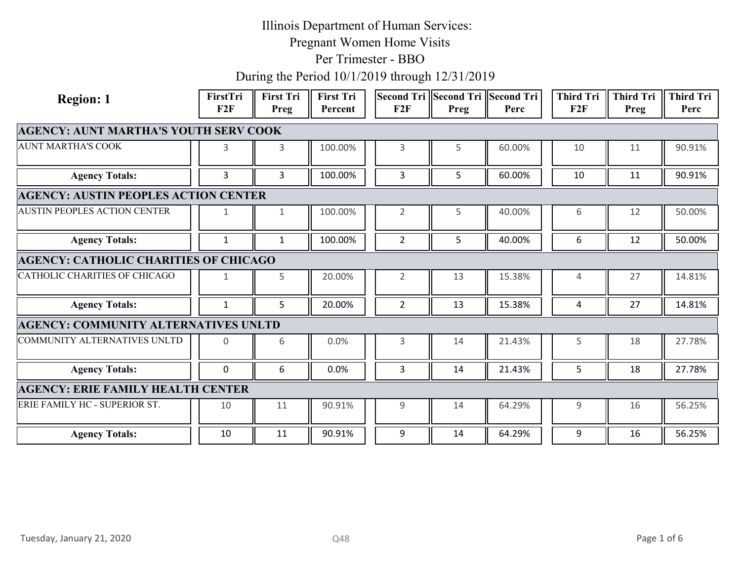Pregnant Women Home Visits

Per Trimester - BBO

| F2F<br>Preg<br>F2F<br>F2F<br>Preg<br>Percent<br>Perc<br>Perc<br>Preg<br><b>AGENCY: AUNT MARTHA'S YOUTH SERV COOK</b><br>3<br>100.00%<br>3<br>60.00%<br>10<br>90.91%<br>3<br>5<br>11<br>90.91%<br><b>Agency Totals:</b><br>100.00%<br>60.00%<br>10<br>3<br>$\mathbf{3}$<br>3<br>5<br>11<br><b>AGENCY: AUSTIN PEOPLES ACTION CENTER</b><br>100.00%<br>40.00%<br>50.00%<br>$\overline{2}$<br>5<br>6<br>12<br>1<br>1<br>100.00%<br>40.00%<br>50.00%<br><b>Agency Totals:</b><br>$\overline{2}$<br>5<br>6<br>12<br>$\mathbf{1}$<br>$\mathbf{1}$<br><b>AGENCY: CATHOLIC CHARITIES OF CHICAGO</b><br>20.00%<br>15.38%<br>14.81%<br>5<br>$\overline{2}$<br>13<br>27<br>4<br>1<br>20.00%<br>15.38%<br><b>Agency Totals:</b><br>5<br>$\overline{2}$<br>13<br>27<br>14.81%<br>$\mathbf{1}$<br>4<br><b>AGENCY: COMMUNITY ALTERNATIVES UNLTD</b><br>27.78%<br>0.0%<br>21.43%<br>5<br>18<br>6<br>3<br>14<br>0<br>6<br>0.0%<br>21.43%<br>5<br>27.78%<br><b>Agency Totals:</b><br>$\overline{0}$<br>$\mathbf{3}$<br>14<br>18<br><b>AGENCY: ERIE FAMILY HEALTH CENTER</b><br>11<br>90.91%<br>9<br>14<br>64.29%<br>9<br>16<br>56.25%<br>10<br><b>Agency Totals:</b><br>90.91%<br>64.29%<br>16<br>56.25%<br>10<br>11<br>9<br>14<br>9<br>Page 1 of 6<br>Tuesday, January 21, 2020<br>Q48 | <b>Region: 1</b> | FirstTri | <b>First Tri</b> | <b>First Tri</b> |  | Second Tri Second Tri Second Tri | <b>Third Tri</b> | <b>Third Tri</b> | <b>Third Tri</b> |
|----------------------------------------------------------------------------------------------------------------------------------------------------------------------------------------------------------------------------------------------------------------------------------------------------------------------------------------------------------------------------------------------------------------------------------------------------------------------------------------------------------------------------------------------------------------------------------------------------------------------------------------------------------------------------------------------------------------------------------------------------------------------------------------------------------------------------------------------------------------------------------------------------------------------------------------------------------------------------------------------------------------------------------------------------------------------------------------------------------------------------------------------------------------------------------------------------------------------------------------------------------------------|------------------|----------|------------------|------------------|--|----------------------------------|------------------|------------------|------------------|
| COMMUNITY ALTERNATIVES UNLTD<br>ERIE FAMILY HC - SUPERIOR ST.                                                                                                                                                                                                                                                                                                                                                                                                                                                                                                                                                                                                                                                                                                                                                                                                                                                                                                                                                                                                                                                                                                                                                                                                        |                  |          |                  |                  |  |                                  |                  |                  |                  |
| <b>AUNT MARTHA'S COOK</b><br><b>AUSTIN PEOPLES ACTION CENTER</b><br>CATHOLIC CHARITIES OF CHICAGO                                                                                                                                                                                                                                                                                                                                                                                                                                                                                                                                                                                                                                                                                                                                                                                                                                                                                                                                                                                                                                                                                                                                                                    |                  |          |                  |                  |  |                                  |                  |                  |                  |
|                                                                                                                                                                                                                                                                                                                                                                                                                                                                                                                                                                                                                                                                                                                                                                                                                                                                                                                                                                                                                                                                                                                                                                                                                                                                      |                  |          |                  |                  |  |                                  |                  |                  |                  |
|                                                                                                                                                                                                                                                                                                                                                                                                                                                                                                                                                                                                                                                                                                                                                                                                                                                                                                                                                                                                                                                                                                                                                                                                                                                                      |                  |          |                  |                  |  |                                  |                  |                  |                  |
|                                                                                                                                                                                                                                                                                                                                                                                                                                                                                                                                                                                                                                                                                                                                                                                                                                                                                                                                                                                                                                                                                                                                                                                                                                                                      |                  |          |                  |                  |  |                                  |                  |                  |                  |
|                                                                                                                                                                                                                                                                                                                                                                                                                                                                                                                                                                                                                                                                                                                                                                                                                                                                                                                                                                                                                                                                                                                                                                                                                                                                      |                  |          |                  |                  |  |                                  |                  |                  |                  |
|                                                                                                                                                                                                                                                                                                                                                                                                                                                                                                                                                                                                                                                                                                                                                                                                                                                                                                                                                                                                                                                                                                                                                                                                                                                                      |                  |          |                  |                  |  |                                  |                  |                  |                  |
|                                                                                                                                                                                                                                                                                                                                                                                                                                                                                                                                                                                                                                                                                                                                                                                                                                                                                                                                                                                                                                                                                                                                                                                                                                                                      |                  |          |                  |                  |  |                                  |                  |                  |                  |
|                                                                                                                                                                                                                                                                                                                                                                                                                                                                                                                                                                                                                                                                                                                                                                                                                                                                                                                                                                                                                                                                                                                                                                                                                                                                      |                  |          |                  |                  |  |                                  |                  |                  |                  |
|                                                                                                                                                                                                                                                                                                                                                                                                                                                                                                                                                                                                                                                                                                                                                                                                                                                                                                                                                                                                                                                                                                                                                                                                                                                                      |                  |          |                  |                  |  |                                  |                  |                  |                  |
|                                                                                                                                                                                                                                                                                                                                                                                                                                                                                                                                                                                                                                                                                                                                                                                                                                                                                                                                                                                                                                                                                                                                                                                                                                                                      |                  |          |                  |                  |  |                                  |                  |                  |                  |
|                                                                                                                                                                                                                                                                                                                                                                                                                                                                                                                                                                                                                                                                                                                                                                                                                                                                                                                                                                                                                                                                                                                                                                                                                                                                      |                  |          |                  |                  |  |                                  |                  |                  |                  |
|                                                                                                                                                                                                                                                                                                                                                                                                                                                                                                                                                                                                                                                                                                                                                                                                                                                                                                                                                                                                                                                                                                                                                                                                                                                                      |                  |          |                  |                  |  |                                  |                  |                  |                  |
|                                                                                                                                                                                                                                                                                                                                                                                                                                                                                                                                                                                                                                                                                                                                                                                                                                                                                                                                                                                                                                                                                                                                                                                                                                                                      |                  |          |                  |                  |  |                                  |                  |                  |                  |
|                                                                                                                                                                                                                                                                                                                                                                                                                                                                                                                                                                                                                                                                                                                                                                                                                                                                                                                                                                                                                                                                                                                                                                                                                                                                      |                  |          |                  |                  |  |                                  |                  |                  |                  |
|                                                                                                                                                                                                                                                                                                                                                                                                                                                                                                                                                                                                                                                                                                                                                                                                                                                                                                                                                                                                                                                                                                                                                                                                                                                                      |                  |          |                  |                  |  |                                  |                  |                  |                  |
|                                                                                                                                                                                                                                                                                                                                                                                                                                                                                                                                                                                                                                                                                                                                                                                                                                                                                                                                                                                                                                                                                                                                                                                                                                                                      |                  |          |                  |                  |  |                                  |                  |                  |                  |
|                                                                                                                                                                                                                                                                                                                                                                                                                                                                                                                                                                                                                                                                                                                                                                                                                                                                                                                                                                                                                                                                                                                                                                                                                                                                      |                  |          |                  |                  |  |                                  |                  |                  |                  |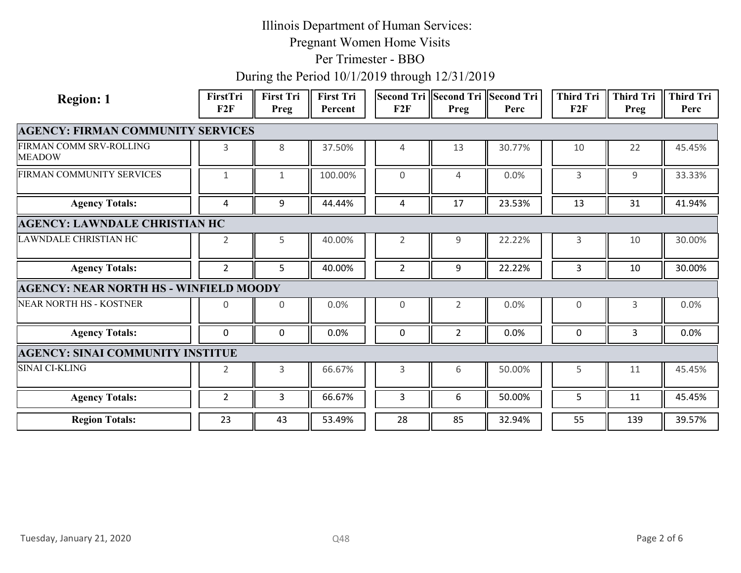Pregnant Women Home Visits

#### Per Trimester - BBO

| <b>Region: 1</b>                              | FirstTri<br>F2F | <b>First Tri</b><br>Preg | <b>First Tri</b><br>Percent | F2F            | Second Tri Second Tri Second Tri<br>Preg | Perc   | <b>Third Tri</b><br>F2F | <b>Third Tri</b><br>Preg | <b>Third Tri</b><br>Perc |
|-----------------------------------------------|-----------------|--------------------------|-----------------------------|----------------|------------------------------------------|--------|-------------------------|--------------------------|--------------------------|
| <b>AGENCY: FIRMAN COMMUNITY SERVICES</b>      |                 |                          |                             |                |                                          |        |                         |                          |                          |
| FIRMAN COMM SRV-ROLLING<br><b>MEADOW</b>      | 3               | 8                        | 37.50%                      | 4              | 13                                       | 30.77% | 10                      | 22                       | 45.45%                   |
| FIRMAN COMMUNITY SERVICES                     | $\mathbf{1}$    | $\mathbf{1}$             | 100.00%                     | $\mathbf 0$    | $\overline{4}$                           | 0.0%   | $\mathsf{3}$            | 9                        | 33.33%                   |
| <b>Agency Totals:</b>                         | 4               | 9                        | 44.44%                      | 4              | 17                                       | 23.53% | 13                      | 31                       | 41.94%                   |
| <b>AGENCY: LAWNDALE CHRISTIAN HC</b>          |                 |                          |                             |                |                                          |        |                         |                          |                          |
| LAWNDALE CHRISTIAN HC                         | $\overline{2}$  | 5                        | 40.00%                      | $\overline{2}$ | 9                                        | 22.22% | $\mathsf{3}$            | 10                       | 30.00%                   |
| <b>Agency Totals:</b>                         | $2^{\circ}$     | 5 <sub>1</sub>           | 40.00%                      | $\overline{2}$ | 9                                        | 22.22% | $\mathbf{3}$            | 10                       | 30.00%                   |
| <b>AGENCY: NEAR NORTH HS - WINFIELD MOODY</b> |                 |                          |                             |                |                                          |        |                         |                          |                          |
| <b>NEAR NORTH HS - KOSTNER</b>                | $\mathsf{O}$    | $\mathbf 0$              | 0.0%                        | $\mathsf{O}$   | 2                                        | 0.0%   | $\mathbf 0$             | 3                        | 0.0%                     |
| <b>Agency Totals:</b>                         | 0               | $\mathbf 0$              | 0.0%                        | $\mathbf 0$    | $\overline{2}$                           | 0.0%   | $\mathsf{O}$            | $\mathbf{3}$             | 0.0%                     |
| <b>AGENCY: SINAI COMMUNITY INSTITUE</b>       |                 |                          |                             |                |                                          |        |                         |                          |                          |
| SINAI CI-KLING                                | $\overline{2}$  | $\mathbf{3}$             | 66.67%                      | 3              | 6                                        | 50.00% | 5                       | 11                       | 45.45%                   |
| <b>Agency Totals:</b>                         | $\overline{2}$  | $\mathbf{3}$             | 66.67%                      | $\overline{3}$ | 6                                        | 50.00% | 5                       | 11                       | 45.45%                   |
| <b>Region Totals:</b>                         | 23              | 43                       | 53.49%                      | 28             | 85                                       | 32.94% | 55                      | 139                      | 39.57%                   |
|                                               |                 |                          |                             |                |                                          |        |                         |                          |                          |
| Tuesday, January 21, 2020                     |                 |                          | Q48                         |                |                                          |        |                         | Page 2 of 6              |                          |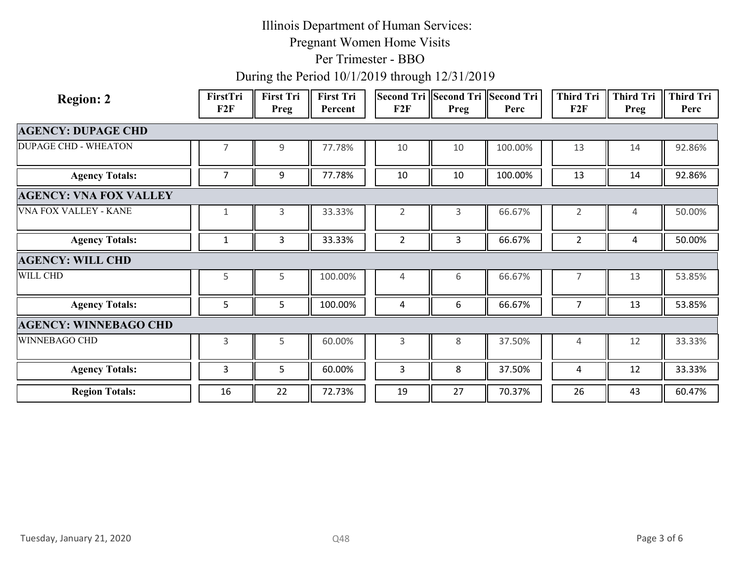Pregnant Women Home Visits

Per Trimester - BBO

| <b>Region: 2</b>              | FirstTri<br>F2F | <b>First Tri</b><br>Preg | First Tri<br>Percent | Second Tri Second Tri Second Tri<br>F2F | Preg         | Perc    | <b>Third Tri</b><br>F2F | <b>Third Tri</b><br>Preg | <b>Third Tri</b><br>Perc |
|-------------------------------|-----------------|--------------------------|----------------------|-----------------------------------------|--------------|---------|-------------------------|--------------------------|--------------------------|
|                               |                 |                          |                      |                                         |              |         |                         |                          |                          |
| <b>AGENCY: DUPAGE CHD</b>     |                 |                          |                      |                                         |              |         |                         |                          |                          |
| <b>DUPAGE CHD - WHEATON</b>   | $\overline{7}$  | $\mathsf g$              | 77.78%               | $10$                                    | 10           | 100.00% | 13                      | 14                       | 92.86%                   |
| <b>Agency Totals:</b>         | $\overline{7}$  | 9                        | 77.78%               | $10\,$                                  | 10           | 100.00% | 13                      | 14                       | 92.86%                   |
| <b>AGENCY: VNA FOX VALLEY</b> |                 |                          |                      |                                         |              |         |                         |                          |                          |
| VNA FOX VALLEY - KANE         | $\mathbf{1}$    | $\mathbf{3}$             | 33.33%               | $\overline{2}$                          | $\mathbf{3}$ | 66.67%  | $\overline{2}$          | 4                        | 50.00%                   |
| <b>Agency Totals:</b>         | $\mathbf{1}$    | $\mathbf{3}$             | 33.33%               | $\overline{2}$                          | $\mathbf{3}$ | 66.67%  | $\overline{2}$          | $\overline{a}$           | 50.00%                   |
| <b>AGENCY: WILL CHD</b>       |                 |                          |                      |                                         |              |         |                         |                          |                          |
| WILL CHD                      | 5               | 5                        | 100.00%              | $\overline{4}$                          | 6            | 66.67%  | $\overline{7}$          | 13                       | 53.85%                   |
| <b>Agency Totals:</b>         | 5               | 5                        | 100.00%              | 4                                       | 6            | 66.67%  | $\overline{7}$          | 13                       | 53.85%                   |
| <b>AGENCY: WINNEBAGO CHD</b>  |                 |                          |                      |                                         |              |         |                         |                          |                          |
| WINNEBAGO CHD                 | $\mathsf{3}$    | 5                        | 60.00%               | $\mathsf{3}$                            | 8            | 37.50%  | $\overline{4}$          | 12                       | 33.33%                   |
| <b>Agency Totals:</b>         | $\mathbf{3}$    | 5                        | 60.00%               | $\mathbf{3}$                            | $\,8\,$      | 37.50%  | $\overline{4}$          | 12                       | 33.33%                   |
| <b>Region Totals:</b>         | 16              | 22                       | 72.73%               | 19                                      | 27           | 70.37%  | 26                      | 43                       | 60.47%                   |
|                               |                 |                          |                      |                                         |              |         |                         |                          |                          |
| Tuesday, January 21, 2020     |                 |                          | Q48                  |                                         |              |         |                         | Page 3 of 6              |                          |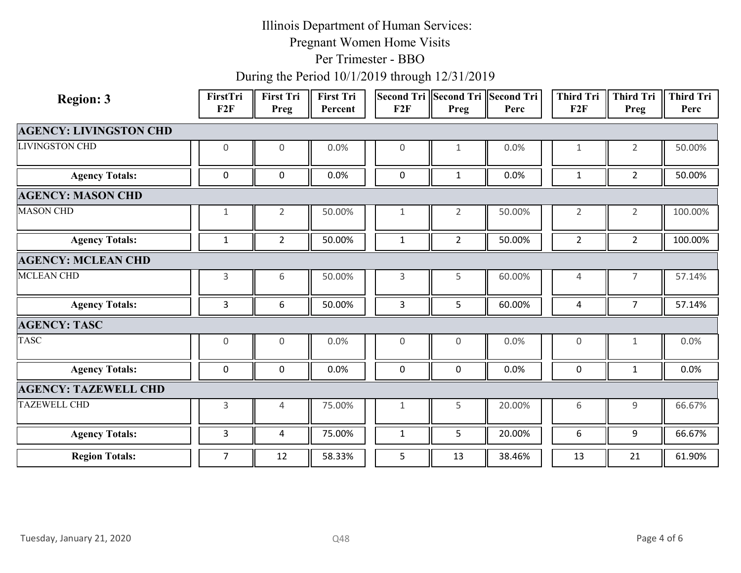Pregnant Women Home Visits

Per Trimester - BBO

| <b>Region: 3</b>              | FirstTri<br>F2F | First Tri<br>Preg | <b>First Tri</b><br>Percent | Second Tri Second Tri Second Tri<br>F2F | Preg           | Perc   | <b>Third Tri</b><br>F2F | Third Tri<br>Preg | <b>Third Tri</b><br>Perc |
|-------------------------------|-----------------|-------------------|-----------------------------|-----------------------------------------|----------------|--------|-------------------------|-------------------|--------------------------|
| <b>AGENCY: LIVINGSTON CHD</b> |                 |                   |                             |                                         |                |        |                         |                   |                          |
| <b>LIVINGSTON CHD</b>         | 0               | $\mathbf 0$       | 0.0%                        | $\mathbf 0$                             | $\mathbf{1}$   | 0.0%   | 1                       | $\overline{2}$    | 50.00%                   |
| <b>Agency Totals:</b>         | 0               | $\mathbf 0$       | $0.0\%$                     | $\pmb{0}$                               | $\mathbf{1}$   | 0.0%   | $\mathbf{1}$            | $\overline{2}$    | 50.00%                   |
| <b>AGENCY: MASON CHD</b>      |                 |                   |                             |                                         |                |        |                         |                   |                          |
| <b>MASON CHD</b>              | $\mathbf{1}$    | $\overline{2}$    | 50.00%                      | 1                                       | $\overline{2}$ | 50.00% | $\overline{2}$          | $\overline{2}$    | 100.00%                  |
| <b>Agency Totals:</b>         | $\mathbf{1}$    | $2^{\circ}$       | 50.00%                      | $\mathbf{1}$                            | $\overline{2}$ | 50.00% | $\overline{2}$          | $2^{\circ}$       | 100.00%                  |
| <b>AGENCY: MCLEAN CHD</b>     |                 |                   |                             |                                         |                |        |                         |                   |                          |
| <b>MCLEAN CHD</b>             | 3               | 6                 | 50.00%                      | 3                                       | 5              | 60.00% | $\overline{4}$          | $\overline{7}$    | 57.14%                   |
| <b>Agency Totals:</b>         | 3               | 6                 | 50.00%                      | 3                                       | 5              | 60.00% | 4                       | $\overline{7}$    | 57.14%                   |
| <b>AGENCY: TASC</b>           |                 |                   |                             |                                         |                |        |                         |                   |                          |
| <b>TASC</b>                   | $\mathbf 0$     | $\overline{0}$    | 0.0%                        | $\mathsf{O}\xspace$                     | $\mathsf{O}$   | 0.0%   | $\mathsf{O}$            | $\mathbf{1}$      | 0.0%                     |
| <b>Agency Totals:</b>         | $\mathbf 0$     | $\mathbf 0$       | $0.0\%$                     | $\mathbf 0$                             | $\mathsf 0$    | 0.0%   | $\mathbf 0$             | $\mathbf{1}$      | 0.0%                     |
| <b>AGENCY: TAZEWELL CHD</b>   |                 |                   |                             |                                         |                |        |                         |                   |                          |
| <b>TAZEWELL CHD</b>           | 3               | $\overline{4}$    | 75.00%                      | 1                                       | 5              | 20.00% | 6                       | 9                 | 66.67%                   |
| <b>Agency Totals:</b>         | 3               | 4                 | 75.00%                      | $\mathbf{1}$                            | 5              | 20.00% | 6                       | 9                 | 66.67%                   |
| <b>Region Totals:</b>         | $7\overline{ }$ | 12                | 58.33%                      | 5                                       | 13             | 38.46% | 13                      | 21                | 61.90%                   |
| Tuesday, January 21, 2020     |                 |                   | Q48                         |                                         |                |        |                         | Page 4 of 6       |                          |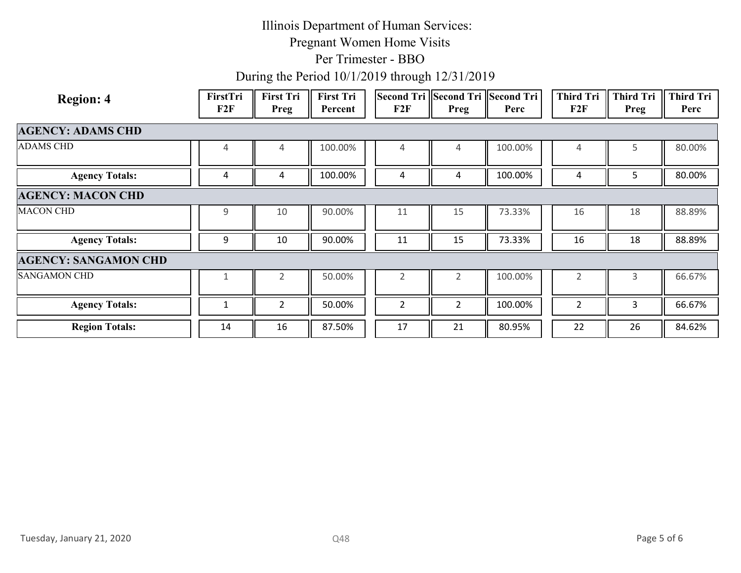Pregnant Women Home Visits

#### Per Trimester - BBO

| <b>AGENCY: ADAMS CHD</b><br>100.00%<br>100.00%<br>80.00%<br>5<br>4<br>$\overline{4}$<br>4<br>4<br>4<br>100.00%<br><b>Agency Totals:</b><br>100.00%<br>80.00%<br>5 <sub>1</sub><br>4<br>4<br>4<br>$\overline{a}$<br>4<br><b>AGENCY: MACON CHD</b><br>90.00%<br>73.33%<br>88.89%<br>9<br>10<br>11<br>15<br>16<br>18<br>88.89%<br>10<br>90.00%<br>11<br>15<br>73.33%<br>16<br>18<br><b>Agency Totals:</b><br>9<br><b>AGENCY: SANGAMON CHD</b><br>66.67%<br>50.00%<br>100.00%<br>$\overline{2}$<br>$\overline{2}$<br>$\overline{2}$<br>$\overline{2}$<br>$\mathbf{3}$<br>$\mathbf{1}$<br>50.00%<br>100.00%<br>66.67%<br><b>Agency Totals:</b><br>$\overline{2}$<br>$\overline{2}$<br>$\overline{2}$<br>$\overline{2}$<br>$\mathbf{3}$<br>$\mathbf{1}$<br><b>Region Totals:</b><br>87.50%<br>84.62%<br>17<br>80.95%<br>22<br>14<br>16<br>21<br>26 | <b>Region: 4</b>          | FirstTri<br>F2F | First Tri<br>Preg | <b>First Tri</b><br>Percent | Second Tri Second Tri Second Tri<br>F2F | Preg | Perc | Third Tri<br>F2F | <b>Third Tri</b><br>Preg | <b>Third Tri</b><br>Perc |
|----------------------------------------------------------------------------------------------------------------------------------------------------------------------------------------------------------------------------------------------------------------------------------------------------------------------------------------------------------------------------------------------------------------------------------------------------------------------------------------------------------------------------------------------------------------------------------------------------------------------------------------------------------------------------------------------------------------------------------------------------------------------------------------------------------------------------------------------|---------------------------|-----------------|-------------------|-----------------------------|-----------------------------------------|------|------|------------------|--------------------------|--------------------------|
| <b>ADAMS CHD</b><br><b>MACON CHD</b><br><b>SANGAMON CHD</b>                                                                                                                                                                                                                                                                                                                                                                                                                                                                                                                                                                                                                                                                                                                                                                                  |                           |                 |                   |                             |                                         |      |      |                  |                          |                          |
|                                                                                                                                                                                                                                                                                                                                                                                                                                                                                                                                                                                                                                                                                                                                                                                                                                              |                           |                 |                   |                             |                                         |      |      |                  |                          |                          |
|                                                                                                                                                                                                                                                                                                                                                                                                                                                                                                                                                                                                                                                                                                                                                                                                                                              |                           |                 |                   |                             |                                         |      |      |                  |                          |                          |
|                                                                                                                                                                                                                                                                                                                                                                                                                                                                                                                                                                                                                                                                                                                                                                                                                                              |                           |                 |                   |                             |                                         |      |      |                  |                          |                          |
|                                                                                                                                                                                                                                                                                                                                                                                                                                                                                                                                                                                                                                                                                                                                                                                                                                              |                           |                 |                   |                             |                                         |      |      |                  |                          |                          |
|                                                                                                                                                                                                                                                                                                                                                                                                                                                                                                                                                                                                                                                                                                                                                                                                                                              |                           |                 |                   |                             |                                         |      |      |                  |                          |                          |
|                                                                                                                                                                                                                                                                                                                                                                                                                                                                                                                                                                                                                                                                                                                                                                                                                                              |                           |                 |                   |                             |                                         |      |      |                  |                          |                          |
|                                                                                                                                                                                                                                                                                                                                                                                                                                                                                                                                                                                                                                                                                                                                                                                                                                              |                           |                 |                   |                             |                                         |      |      |                  |                          |                          |
|                                                                                                                                                                                                                                                                                                                                                                                                                                                                                                                                                                                                                                                                                                                                                                                                                                              |                           |                 |                   |                             |                                         |      |      |                  |                          |                          |
|                                                                                                                                                                                                                                                                                                                                                                                                                                                                                                                                                                                                                                                                                                                                                                                                                                              |                           |                 |                   |                             |                                         |      |      |                  |                          |                          |
|                                                                                                                                                                                                                                                                                                                                                                                                                                                                                                                                                                                                                                                                                                                                                                                                                                              |                           |                 |                   |                             |                                         |      |      |                  |                          |                          |
| Page 5 of 6                                                                                                                                                                                                                                                                                                                                                                                                                                                                                                                                                                                                                                                                                                                                                                                                                                  | Tuesday, January 21, 2020 |                 |                   | Q48                         |                                         |      |      |                  |                          |                          |